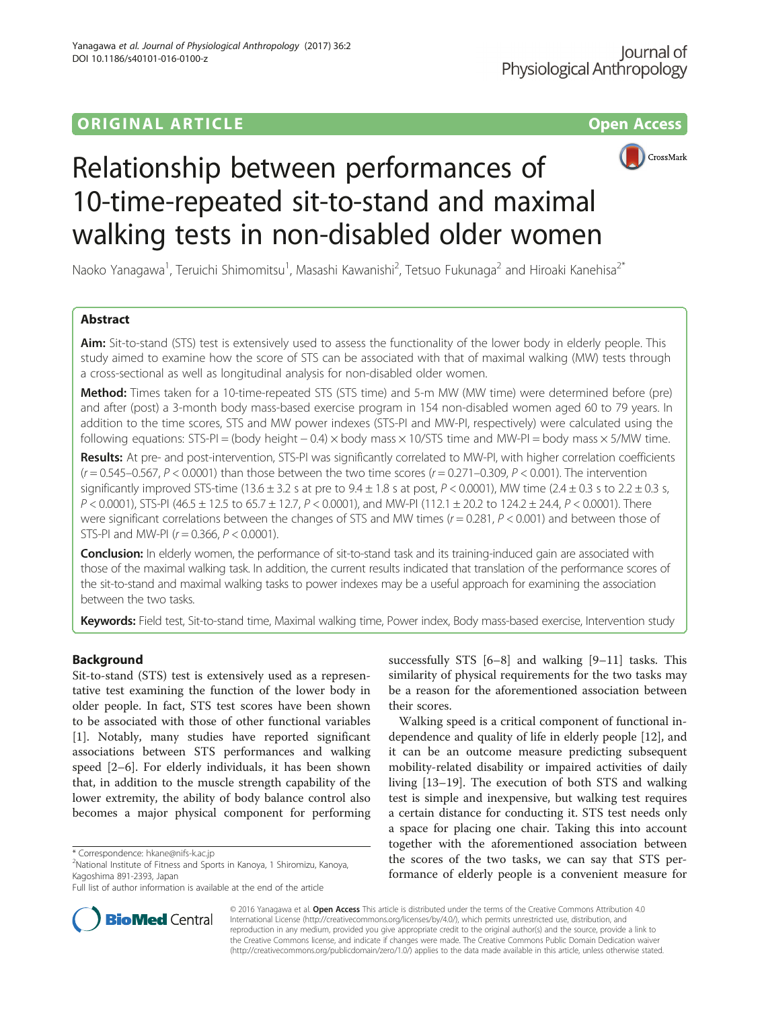# **ORIGINAL ARTICLE CONSERVATION CONSERVATION**



# Relationship between performances of 10-time-repeated sit-to-stand and maximal walking tests in non-disabled older women

Naoko Yanagawa<sup>1</sup>, Teruichi Shimomitsu<sup>1</sup>, Masashi Kawanishi<sup>2</sup>, Tetsuo Fukunaga<sup>2</sup> and Hiroaki Kanehisa<sup>2\*</sup>

# Abstract

Aim: Sit-to-stand (STS) test is extensively used to assess the functionality of the lower body in elderly people. This study aimed to examine how the score of STS can be associated with that of maximal walking (MW) tests through a cross-sectional as well as longitudinal analysis for non-disabled older women.

**Method:** Times taken for a 10-time-repeated STS (STS time) and 5-m MW (MW time) were determined before (pre) and after (post) a 3-month body mass-based exercise program in 154 non-disabled women aged 60 to 79 years. In addition to the time scores, STS and MW power indexes (STS-PI and MW-PI, respectively) were calculated using the following equations: STS-PI = (body height  $-0.4$ ) × body mass × 10/STS time and MW-PI = body mass × 5/MW time.

Results: At pre- and post-intervention, STS-PI was significantly correlated to MW-PI, with higher correlation coefficients  $(r = 0.545 - 0.567, P < 0.0001)$  than those between the two time scores  $(r = 0.271 - 0.309, P < 0.001)$ . The intervention significantly improved STS-time (13.6  $\pm$  3.2 s at pre to 9.4  $\pm$  1.8 s at post, P < 0.0001), MW time (2.4  $\pm$  0.3 s to 2.2  $\pm$  0.3 s,  $P < 0.0001$ ), STS-PI (46.5  $\pm$  12.5 to 65.7  $\pm$  12.7, P < 0.0001), and MW-PI (112.1  $\pm$  20.2 to 124.2  $\pm$  24.4, P < 0.0001). There were significant correlations between the changes of STS and MW times  $(r = 0.281, P < 0.001)$  and between those of STS-PI and MW-PI ( $r = 0.366$ ,  $P < 0.0001$ ).

Conclusion: In elderly women, the performance of sit-to-stand task and its training-induced gain are associated with those of the maximal walking task. In addition, the current results indicated that translation of the performance scores of the sit-to-stand and maximal walking tasks to power indexes may be a useful approach for examining the association between the two tasks.

Keywords: Field test, Sit-to-stand time, Maximal walking time, Power index, Body mass-based exercise, Intervention study

# Background

Sit-to-stand (STS) test is extensively used as a representative test examining the function of the lower body in older people. In fact, STS test scores have been shown to be associated with those of other functional variables [[1\]](#page-6-0). Notably, many studies have reported significant associations between STS performances and walking speed [\[2](#page-6-0)–[6\]](#page-6-0). For elderly individuals, it has been shown that, in addition to the muscle strength capability of the lower extremity, the ability of body balance control also becomes a major physical component for performing



Walking speed is a critical component of functional independence and quality of life in elderly people [\[12](#page-6-0)], and it can be an outcome measure predicting subsequent mobility-related disability or impaired activities of daily living [\[13](#page-6-0)–[19\]](#page-7-0). The execution of both STS and walking test is simple and inexpensive, but walking test requires a certain distance for conducting it. STS test needs only a space for placing one chair. Taking this into account together with the aforementioned association between the scores of the two tasks, we can say that STS performance of elderly people is a convenient measure for



© 2016 Yanagawa et al. Open Access This article is distributed under the terms of the Creative Commons Attribution 4.0 International License [\(http://creativecommons.org/licenses/by/4.0/](http://creativecommons.org/licenses/by/4.0/)), which permits unrestricted use, distribution, and reproduction in any medium, provided you give appropriate credit to the original author(s) and the source, provide a link to the Creative Commons license, and indicate if changes were made. The Creative Commons Public Domain Dedication waiver [\(http://creativecommons.org/publicdomain/zero/1.0/](http://creativecommons.org/publicdomain/zero/1.0/)) applies to the data made available in this article, unless otherwise stated.

<sup>\*</sup> Correspondence: [hkane@nifs-k.ac.jp](mailto:hkane@nifs-k.ac.jp) <sup>2</sup>

<sup>&</sup>lt;sup>2</sup>National Institute of Fitness and Sports in Kanoya, 1 Shiromizu, Kanoya, Kagoshima 891-2393, Japan

Full list of author information is available at the end of the article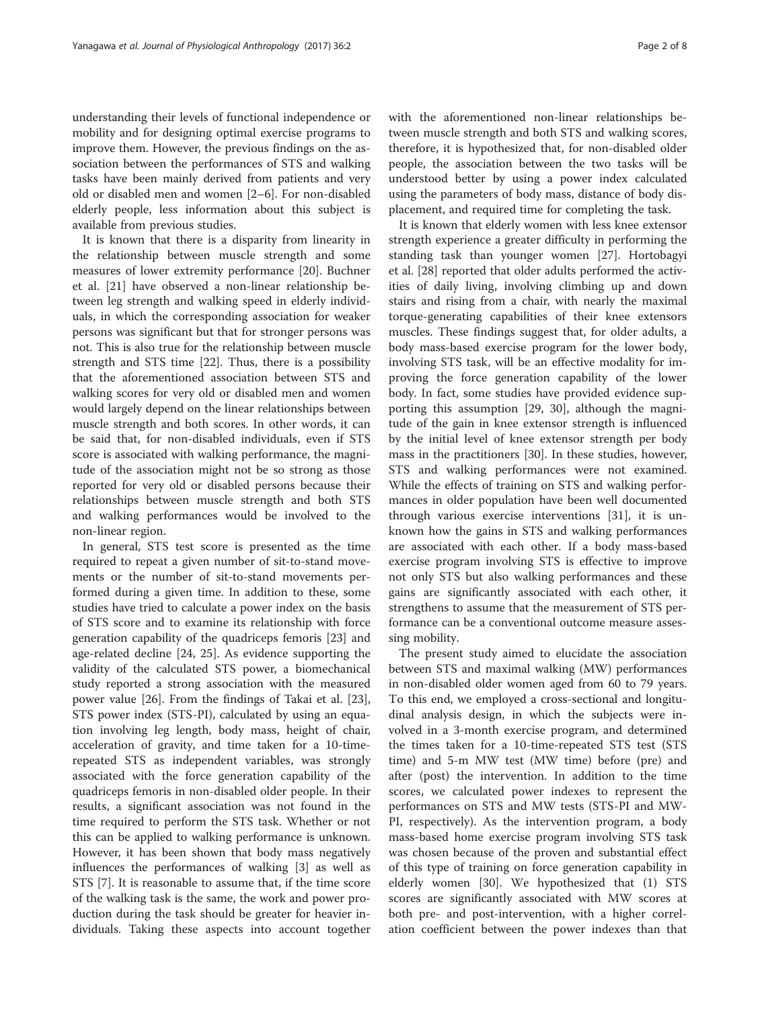understanding their levels of functional independence or mobility and for designing optimal exercise programs to improve them. However, the previous findings on the association between the performances of STS and walking tasks have been mainly derived from patients and very old or disabled men and women [[2](#page-6-0)–[6](#page-6-0)]. For non-disabled elderly people, less information about this subject is available from previous studies.

It is known that there is a disparity from linearity in the relationship between muscle strength and some measures of lower extremity performance [\[20](#page-7-0)]. Buchner et al. [[21\]](#page-7-0) have observed a non-linear relationship between leg strength and walking speed in elderly individuals, in which the corresponding association for weaker persons was significant but that for stronger persons was not. This is also true for the relationship between muscle strength and STS time [[22](#page-7-0)]. Thus, there is a possibility that the aforementioned association between STS and walking scores for very old or disabled men and women would largely depend on the linear relationships between muscle strength and both scores. In other words, it can be said that, for non-disabled individuals, even if STS score is associated with walking performance, the magnitude of the association might not be so strong as those reported for very old or disabled persons because their relationships between muscle strength and both STS and walking performances would be involved to the non-linear region.

In general, STS test score is presented as the time required to repeat a given number of sit-to-stand movements or the number of sit-to-stand movements performed during a given time. In addition to these, some studies have tried to calculate a power index on the basis of STS score and to examine its relationship with force generation capability of the quadriceps femoris [[23\]](#page-7-0) and age-related decline [\[24](#page-7-0), [25\]](#page-7-0). As evidence supporting the validity of the calculated STS power, a biomechanical study reported a strong association with the measured power value [[26\]](#page-7-0). From the findings of Takai et al. [\[23](#page-7-0)], STS power index (STS-PI), calculated by using an equation involving leg length, body mass, height of chair, acceleration of gravity, and time taken for a 10-timerepeated STS as independent variables, was strongly associated with the force generation capability of the quadriceps femoris in non-disabled older people. In their results, a significant association was not found in the time required to perform the STS task. Whether or not this can be applied to walking performance is unknown. However, it has been shown that body mass negatively influences the performances of walking [\[3](#page-6-0)] as well as STS [\[7](#page-6-0)]. It is reasonable to assume that, if the time score of the walking task is the same, the work and power production during the task should be greater for heavier individuals. Taking these aspects into account together with the aforementioned non-linear relationships between muscle strength and both STS and walking scores, therefore, it is hypothesized that, for non-disabled older people, the association between the two tasks will be understood better by using a power index calculated using the parameters of body mass, distance of body displacement, and required time for completing the task.

It is known that elderly women with less knee extensor strength experience a greater difficulty in performing the standing task than younger women [\[27](#page-7-0)]. Hortobagyi et al. [\[28](#page-7-0)] reported that older adults performed the activities of daily living, involving climbing up and down stairs and rising from a chair, with nearly the maximal torque-generating capabilities of their knee extensors muscles. These findings suggest that, for older adults, a body mass-based exercise program for the lower body, involving STS task, will be an effective modality for improving the force generation capability of the lower body. In fact, some studies have provided evidence supporting this assumption [\[29](#page-7-0), [30\]](#page-7-0), although the magnitude of the gain in knee extensor strength is influenced by the initial level of knee extensor strength per body mass in the practitioners [[30\]](#page-7-0). In these studies, however, STS and walking performances were not examined. While the effects of training on STS and walking performances in older population have been well documented through various exercise interventions [[31](#page-7-0)], it is unknown how the gains in STS and walking performances are associated with each other. If a body mass-based exercise program involving STS is effective to improve not only STS but also walking performances and these gains are significantly associated with each other, it strengthens to assume that the measurement of STS performance can be a conventional outcome measure assessing mobility.

The present study aimed to elucidate the association between STS and maximal walking (MW) performances in non-disabled older women aged from 60 to 79 years. To this end, we employed a cross-sectional and longitudinal analysis design, in which the subjects were involved in a 3-month exercise program, and determined the times taken for a 10-time-repeated STS test (STS time) and 5-m MW test (MW time) before (pre) and after (post) the intervention. In addition to the time scores, we calculated power indexes to represent the performances on STS and MW tests (STS-PI and MW-PI, respectively). As the intervention program, a body mass-based home exercise program involving STS task was chosen because of the proven and substantial effect of this type of training on force generation capability in elderly women [\[30](#page-7-0)]. We hypothesized that (1) STS scores are significantly associated with MW scores at both pre- and post-intervention, with a higher correlation coefficient between the power indexes than that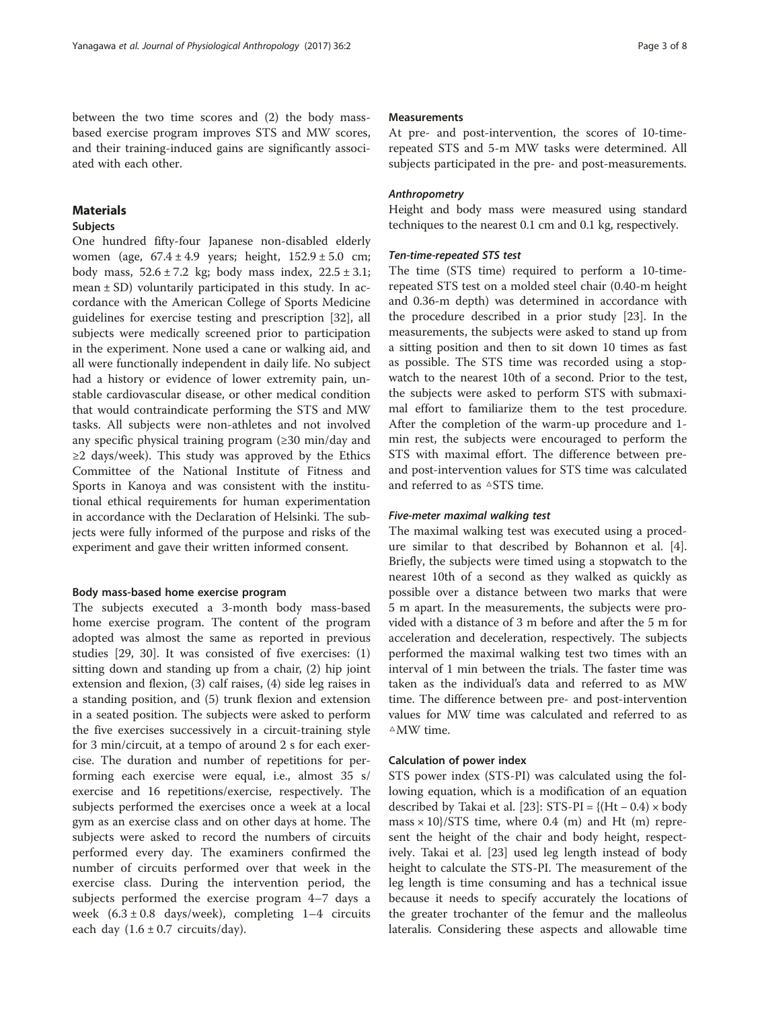between the two time scores and (2) the body massbased exercise program improves STS and MW scores, and their training-induced gains are significantly associated with each other.

## Materials

### Subjects

One hundred fifty-four Japanese non-disabled elderly women (age, 67.4 ± 4.9 years; height, 152.9 ± 5.0 cm; body mass,  $52.6 \pm 7.2$  kg; body mass index,  $22.5 \pm 3.1$ ; mean  $\pm$  SD) voluntarily participated in this study. In accordance with the American College of Sports Medicine guidelines for exercise testing and prescription [[32\]](#page-7-0), all subjects were medically screened prior to participation in the experiment. None used a cane or walking aid, and all were functionally independent in daily life. No subject had a history or evidence of lower extremity pain, unstable cardiovascular disease, or other medical condition that would contraindicate performing the STS and MW tasks. All subjects were non-athletes and not involved any specific physical training program (≥30 min/day and  $\geq$ 2 days/week). This study was approved by the Ethics Committee of the National Institute of Fitness and Sports in Kanoya and was consistent with the institutional ethical requirements for human experimentation in accordance with the Declaration of Helsinki. The subjects were fully informed of the purpose and risks of the experiment and gave their written informed consent.

## Body mass-based home exercise program

The subjects executed a 3-month body mass-based home exercise program. The content of the program adopted was almost the same as reported in previous studies [[29, 30\]](#page-7-0). It was consisted of five exercises: (1) sitting down and standing up from a chair, (2) hip joint extension and flexion, (3) calf raises, (4) side leg raises in a standing position, and (5) trunk flexion and extension in a seated position. The subjects were asked to perform the five exercises successively in a circuit-training style for 3 min/circuit, at a tempo of around 2 s for each exercise. The duration and number of repetitions for performing each exercise were equal, i.e., almost 35 s/ exercise and 16 repetitions/exercise, respectively. The subjects performed the exercises once a week at a local gym as an exercise class and on other days at home. The subjects were asked to record the numbers of circuits performed every day. The examiners confirmed the number of circuits performed over that week in the exercise class. During the intervention period, the subjects performed the exercise program 4–7 days a week  $(6.3 \pm 0.8 \text{ days/week})$ , completing 1–4 circuits each day  $(1.6 \pm 0.7 \text{ circuits/day}).$ 

#### **Measurements**

At pre- and post-intervention, the scores of 10-timerepeated STS and 5-m MW tasks were determined. All subjects participated in the pre- and post-measurements.

#### Anthropometry

Height and body mass were measured using standard techniques to the nearest 0.1 cm and 0.1 kg, respectively.

## Ten-time-repeated STS test

The time (STS time) required to perform a 10-timerepeated STS test on a molded steel chair (0.40-m height and 0.36-m depth) was determined in accordance with the procedure described in a prior study [[23](#page-7-0)]. In the measurements, the subjects were asked to stand up from a sitting position and then to sit down 10 times as fast as possible. The STS time was recorded using a stopwatch to the nearest 10th of a second. Prior to the test, the subjects were asked to perform STS with submaximal effort to familiarize them to the test procedure. After the completion of the warm-up procedure and 1 min rest, the subjects were encouraged to perform the STS with maximal effort. The difference between preand post-intervention values for STS time was calculated and referred to as △STS time.

## Five-meter maximal walking test

The maximal walking test was executed using a procedure similar to that described by Bohannon et al. [\[4](#page-6-0)]. Briefly, the subjects were timed using a stopwatch to the nearest 10th of a second as they walked as quickly as possible over a distance between two marks that were 5 m apart. In the measurements, the subjects were provided with a distance of 3 m before and after the 5 m for acceleration and deceleration, respectively. The subjects performed the maximal walking test two times with an interval of 1 min between the trials. The faster time was taken as the individual's data and referred to as MW time. The difference between pre- and post-intervention values for MW time was calculated and referred to as △MW time.

# Calculation of power index

STS power index (STS-PI) was calculated using the following equation, which is a modification of an equation described by Takai et al. [\[23](#page-7-0)]: STS-PI =  $\{(Ht - 0.4) \times body\}$  $mass \times 10$ ,  $/STS$  time, where 0.4 (m) and Ht (m) represent the height of the chair and body height, respectively. Takai et al. [\[23](#page-7-0)] used leg length instead of body height to calculate the STS-PI. The measurement of the leg length is time consuming and has a technical issue because it needs to specify accurately the locations of the greater trochanter of the femur and the malleolus lateralis. Considering these aspects and allowable time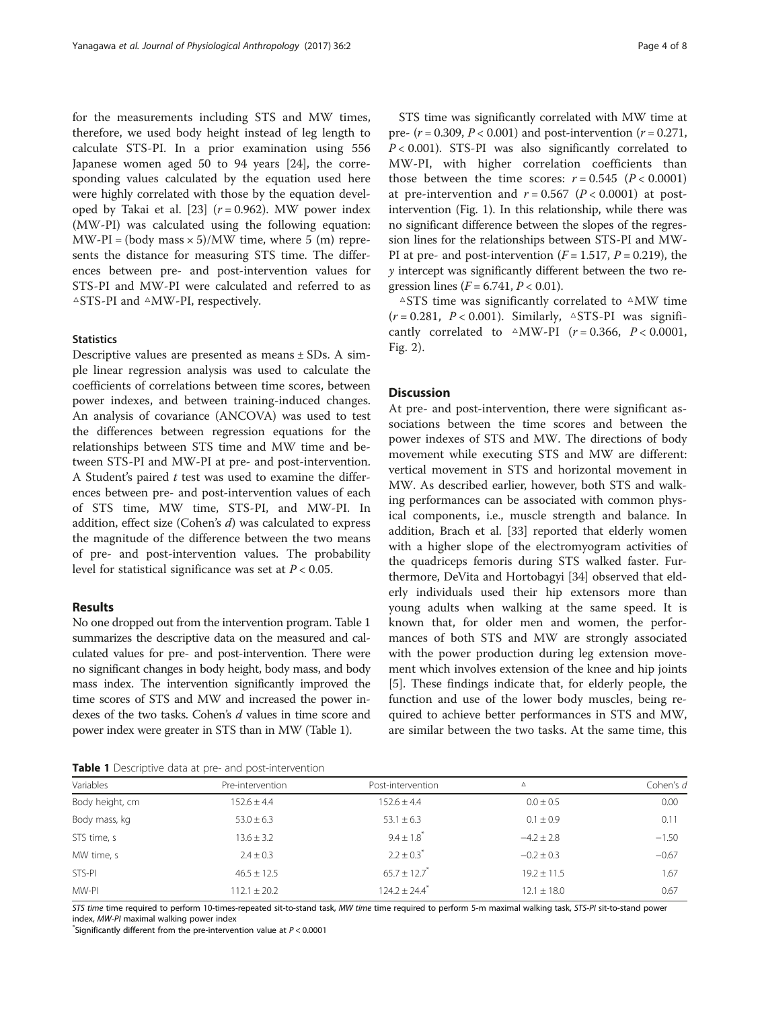<span id="page-3-0"></span>for the measurements including STS and MW times, therefore, we used body height instead of leg length to calculate STS-PI. In a prior examination using 556 Japanese women aged 50 to 94 years [\[24](#page-7-0)], the corresponding values calculated by the equation used here were highly correlated with those by the equation devel-oped by Takai et al. [[23\]](#page-7-0)  $(r = 0.962)$ . MW power index (MW-PI) was calculated using the following equation:  $MW-PI = (body mass \times 5)/MW$  time, where 5 (m) represents the distance for measuring STS time. The differences between pre- and post-intervention values for STS-PI and MW-PI were calculated and referred to as  $\triangle$ STS-PI and  $\triangle$ MW-PI, respectively.

## **Statistics**

Descriptive values are presented as means ± SDs. A simple linear regression analysis was used to calculate the coefficients of correlations between time scores, between power indexes, and between training-induced changes. An analysis of covariance (ANCOVA) was used to test the differences between regression equations for the relationships between STS time and MW time and between STS-PI and MW-PI at pre- and post-intervention. A Student's paired  $t$  test was used to examine the differences between pre- and post-intervention values of each of STS time, MW time, STS-PI, and MW-PI. In addition, effect size (Cohen's d) was calculated to express the magnitude of the difference between the two means of pre- and post-intervention values. The probability level for statistical significance was set at  $P < 0.05$ .

#### Results

No one dropped out from the intervention program. Table 1 summarizes the descriptive data on the measured and calculated values for pre- and post-intervention. There were no significant changes in body height, body mass, and body mass index. The intervention significantly improved the time scores of STS and MW and increased the power indexes of the two tasks. Cohen's d values in time score and power index were greater in STS than in MW (Table 1).

Table 1 Descriptive data at pre- and post-intervention

STS time was significantly correlated with MW time at pre-  $(r = 0.309, P < 0.001)$  and post-intervention  $(r = 0.271,$  $P < 0.001$ ). STS-PI was also significantly correlated to MW-PI, with higher correlation coefficients than those between the time scores:  $r = 0.545$  ( $P < 0.0001$ ) at pre-intervention and  $r = 0.567$  ( $P < 0.0001$ ) at postintervention (Fig. [1](#page-4-0)). In this relationship, while there was no significant difference between the slopes of the regression lines for the relationships between STS-PI and MW-PI at pre- and post-intervention  $(F = 1.517, P = 0.219)$ , the y intercept was significantly different between the two regression lines ( $F = 6.741, P < 0.01$ ).

 $\triangle$ STS time was significantly correlated to  $\triangle$ MW time  $(r = 0.281, P < 0.001)$ . Similarly,  $\triangle STS-PI$  was significantly correlated to  $\triangle M W$ -PI ( $r = 0.366$ ,  $P < 0.0001$ , Fig. [2\)](#page-4-0).

#### **Discussion**

At pre- and post-intervention, there were significant associations between the time scores and between the power indexes of STS and MW. The directions of body movement while executing STS and MW are different: vertical movement in STS and horizontal movement in MW. As described earlier, however, both STS and walking performances can be associated with common physical components, i.e., muscle strength and balance. In addition, Brach et al. [[33\]](#page-7-0) reported that elderly women with a higher slope of the electromyogram activities of the quadriceps femoris during STS walked faster. Furthermore, DeVita and Hortobagyi [\[34](#page-7-0)] observed that elderly individuals used their hip extensors more than young adults when walking at the same speed. It is known that, for older men and women, the performances of both STS and MW are strongly associated with the power production during leg extension movement which involves extension of the knee and hip joints [[5\]](#page-6-0). These findings indicate that, for elderly people, the function and use of the lower body muscles, being required to achieve better performances in STS and MW, are similar between the two tasks. At the same time, this

| Variables       | Pre-intervention | Post-intervention            | Δ               | Cohen's d |
|-----------------|------------------|------------------------------|-----------------|-----------|
| Body height, cm | $152.6 + 4.4$    | $152.6 + 4.4$                | $0.0 + 0.5$     | 0.00      |
| Body mass, kg   | $53.0 \pm 6.3$   | $53.1 \pm 6.3$               | $0.1 \pm 0.9$   | 0.11      |
| STS time, s     | $13.6 \pm 3.2$   | $9.4 \pm 1.8$                | $-4.2 + 2.8$    | $-1.50$   |
| MW time, s      | $2.4 \pm 0.3$    | $2.2 \pm 0.3^*$              | $-0.2 \pm 0.3$  | $-0.67$   |
| STS-PI          | $46.5 \pm 12.5$  | $65.7 \pm 12.7$ <sup>*</sup> | $19.2 + 11.5$   | 1.67      |
| MW-PI           | $112.1 \pm 20.2$ | $124.2 + 24.4$               | $12.1 \pm 18.0$ | 0.67      |
|                 |                  |                              |                 |           |

STS time time required to perform 10-times-repeated sit-to-stand task, MW time time required to perform 5-m maximal walking task, STS-PI sit-to-stand power index, MW-PI maximal walking power index

 $\check{\ }$ Significantly different from the pre-intervention value at  $P < 0.0001$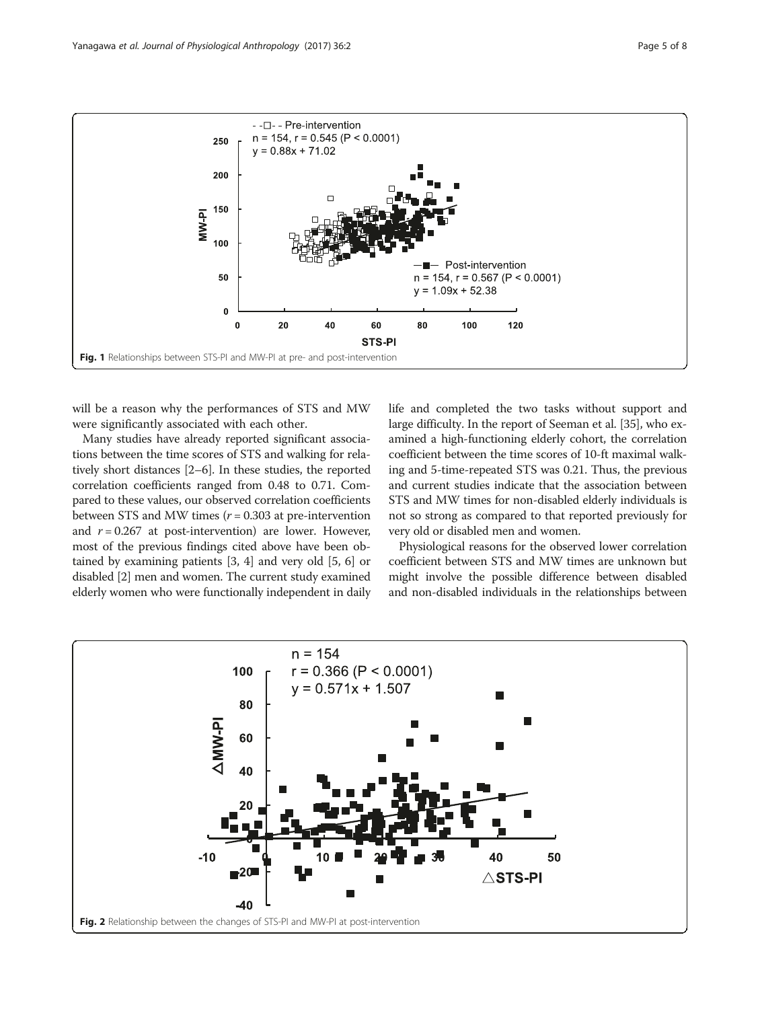<span id="page-4-0"></span>

will be a reason why the performances of STS and MW were significantly associated with each other.

Many studies have already reported significant associations between the time scores of STS and walking for relatively short distances [[2](#page-6-0)–[6](#page-6-0)]. In these studies, the reported correlation coefficients ranged from 0.48 to 0.71. Compared to these values, our observed correlation coefficients between STS and MW times  $(r = 0.303$  at pre-intervention and  $r = 0.267$  at post-intervention) are lower. However, most of the previous findings cited above have been obtained by examining patients [[3, 4](#page-6-0)] and very old [\[5](#page-6-0), [6](#page-6-0)] or disabled [[2\]](#page-6-0) men and women. The current study examined elderly women who were functionally independent in daily life and completed the two tasks without support and large difficulty. In the report of Seeman et al. [\[35\]](#page-7-0), who examined a high-functioning elderly cohort, the correlation coefficient between the time scores of 10-ft maximal walking and 5-time-repeated STS was 0.21. Thus, the previous and current studies indicate that the association between STS and MW times for non-disabled elderly individuals is not so strong as compared to that reported previously for very old or disabled men and women.

Physiological reasons for the observed lower correlation coefficient between STS and MW times are unknown but might involve the possible difference between disabled and non-disabled individuals in the relationships between

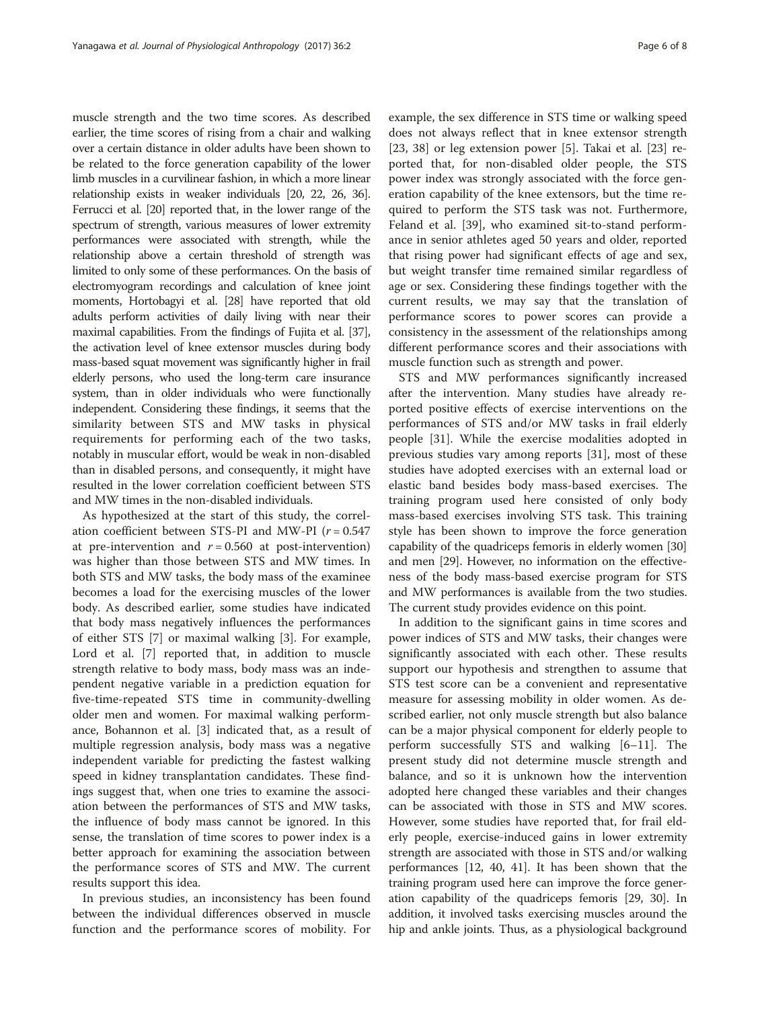muscle strength and the two time scores. As described earlier, the time scores of rising from a chair and walking over a certain distance in older adults have been shown to be related to the force generation capability of the lower limb muscles in a curvilinear fashion, in which a more linear relationship exists in weaker individuals [\[20, 22, 26](#page-7-0), [36](#page-7-0)]. Ferrucci et al. [\[20\]](#page-7-0) reported that, in the lower range of the spectrum of strength, various measures of lower extremity performances were associated with strength, while the relationship above a certain threshold of strength was limited to only some of these performances. On the basis of electromyogram recordings and calculation of knee joint moments, Hortobagyi et al. [[28](#page-7-0)] have reported that old adults perform activities of daily living with near their maximal capabilities. From the findings of Fujita et al. [\[37](#page-7-0)], the activation level of knee extensor muscles during body mass-based squat movement was significantly higher in frail elderly persons, who used the long-term care insurance system, than in older individuals who were functionally independent. Considering these findings, it seems that the similarity between STS and MW tasks in physical requirements for performing each of the two tasks, notably in muscular effort, would be weak in non-disabled than in disabled persons, and consequently, it might have resulted in the lower correlation coefficient between STS and MW times in the non-disabled individuals.

As hypothesized at the start of this study, the correlation coefficient between STS-PI and MW-PI  $(r = 0.547)$ at pre-intervention and  $r = 0.560$  at post-intervention) was higher than those between STS and MW times. In both STS and MW tasks, the body mass of the examinee becomes a load for the exercising muscles of the lower body. As described earlier, some studies have indicated that body mass negatively influences the performances of either STS [[7\]](#page-6-0) or maximal walking [\[3](#page-6-0)]. For example, Lord et al. [\[7](#page-6-0)] reported that, in addition to muscle strength relative to body mass, body mass was an independent negative variable in a prediction equation for five-time-repeated STS time in community-dwelling older men and women. For maximal walking performance, Bohannon et al. [[3\]](#page-6-0) indicated that, as a result of multiple regression analysis, body mass was a negative independent variable for predicting the fastest walking speed in kidney transplantation candidates. These findings suggest that, when one tries to examine the association between the performances of STS and MW tasks, the influence of body mass cannot be ignored. In this sense, the translation of time scores to power index is a better approach for examining the association between the performance scores of STS and MW. The current results support this idea.

In previous studies, an inconsistency has been found between the individual differences observed in muscle function and the performance scores of mobility. For example, the sex difference in STS time or walking speed does not always reflect that in knee extensor strength [[23, 38](#page-7-0)] or leg extension power [\[5](#page-6-0)]. Takai et al. [\[23\]](#page-7-0) reported that, for non-disabled older people, the STS power index was strongly associated with the force generation capability of the knee extensors, but the time required to perform the STS task was not. Furthermore, Feland et al. [\[39](#page-7-0)], who examined sit-to-stand performance in senior athletes aged 50 years and older, reported that rising power had significant effects of age and sex, but weight transfer time remained similar regardless of age or sex. Considering these findings together with the current results, we may say that the translation of performance scores to power scores can provide a consistency in the assessment of the relationships among different performance scores and their associations with

STS and MW performances significantly increased after the intervention. Many studies have already reported positive effects of exercise interventions on the performances of STS and/or MW tasks in frail elderly people [[31\]](#page-7-0). While the exercise modalities adopted in previous studies vary among reports [\[31\]](#page-7-0), most of these studies have adopted exercises with an external load or elastic band besides body mass-based exercises. The training program used here consisted of only body mass-based exercises involving STS task. This training style has been shown to improve the force generation capability of the quadriceps femoris in elderly women [[30](#page-7-0)] and men [[29](#page-7-0)]. However, no information on the effectiveness of the body mass-based exercise program for STS and MW performances is available from the two studies. The current study provides evidence on this point.

muscle function such as strength and power.

In addition to the significant gains in time scores and power indices of STS and MW tasks, their changes were significantly associated with each other. These results support our hypothesis and strengthen to assume that STS test score can be a convenient and representative measure for assessing mobility in older women. As described earlier, not only muscle strength but also balance can be a major physical component for elderly people to perform successfully STS and walking [[6](#page-6-0)–[11\]](#page-6-0). The present study did not determine muscle strength and balance, and so it is unknown how the intervention adopted here changed these variables and their changes can be associated with those in STS and MW scores. However, some studies have reported that, for frail elderly people, exercise-induced gains in lower extremity strength are associated with those in STS and/or walking performances [\[12,](#page-6-0) [40, 41](#page-7-0)]. It has been shown that the training program used here can improve the force generation capability of the quadriceps femoris [\[29](#page-7-0), [30](#page-7-0)]. In addition, it involved tasks exercising muscles around the hip and ankle joints. Thus, as a physiological background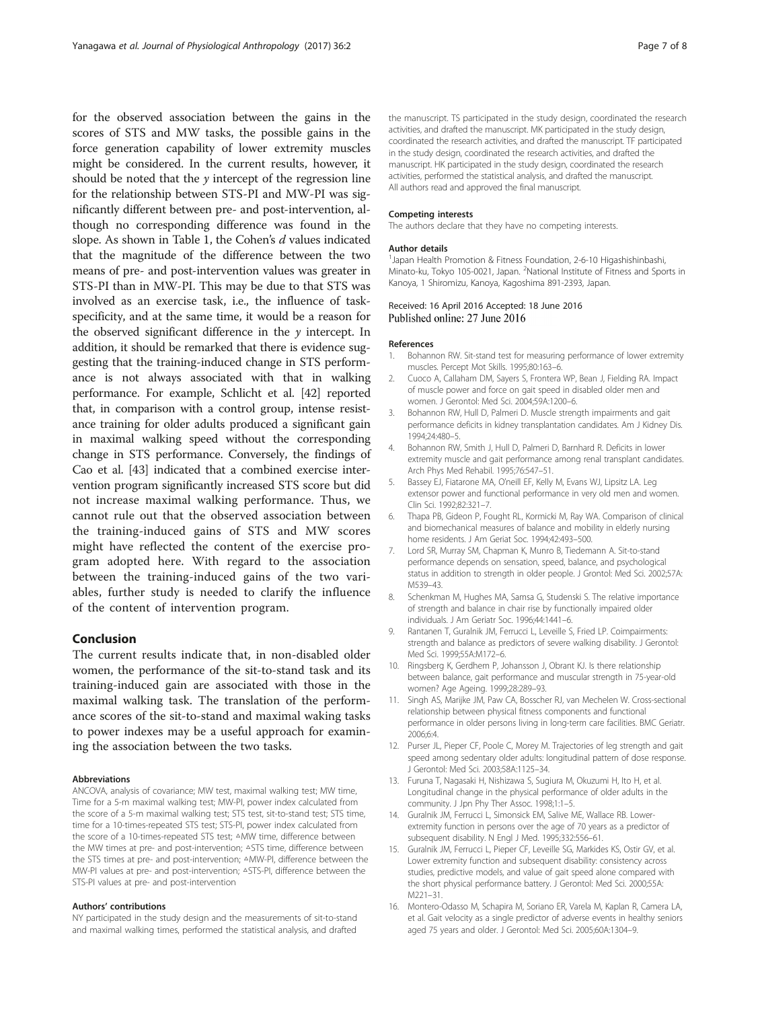<span id="page-6-0"></span>for the observed association between the gains in the scores of STS and MW tasks, the possible gains in the force generation capability of lower extremity muscles might be considered. In the current results, however, it should be noted that the  $y$  intercept of the regression line for the relationship between STS-PI and MW-PI was significantly different between pre- and post-intervention, although no corresponding difference was found in the slope. As shown in Table [1](#page-3-0), the Cohen's d values indicated that the magnitude of the difference between the two means of pre- and post-intervention values was greater in STS-PI than in MW-PI. This may be due to that STS was involved as an exercise task, i.e., the influence of taskspecificity, and at the same time, it would be a reason for the observed significant difference in the  $y$  intercept. In addition, it should be remarked that there is evidence suggesting that the training-induced change in STS performance is not always associated with that in walking performance. For example, Schlicht et al. [[42](#page-7-0)] reported that, in comparison with a control group, intense resistance training for older adults produced a significant gain in maximal walking speed without the corresponding change in STS performance. Conversely, the findings of Cao et al. [[43](#page-7-0)] indicated that a combined exercise intervention program significantly increased STS score but did not increase maximal walking performance. Thus, we cannot rule out that the observed association between the training-induced gains of STS and MW scores might have reflected the content of the exercise program adopted here. With regard to the association between the training-induced gains of the two variables, further study is needed to clarify the influence of the content of intervention program.

#### Conclusion

The current results indicate that, in non-disabled older women, the performance of the sit-to-stand task and its training-induced gain are associated with those in the maximal walking task. The translation of the performance scores of the sit-to-stand and maximal waking tasks to power indexes may be a useful approach for examining the association between the two tasks.

#### Abbreviations

ANCOVA, analysis of covariance; MW test, maximal walking test; MW time, Time for a 5-m maximal walking test; MW-PI, power index calculated from the score of a 5-m maximal walking test; STS test, sit-to-stand test; STS time, time for a 10-times-repeated STS test; STS-PI, power index calculated from the score of a 10-times-repeated STS test; △MW time, difference between the MW times at pre- and post-intervention; △STS time, difference between the STS times at pre- and post-intervention; △MW-PI, difference between the MW-PI values at pre- and post-intervention; △STS-PI, difference between the STS-PI values at pre- and post-intervention

#### Authors' contributions

NY participated in the study design and the measurements of sit-to-stand and maximal walking times, performed the statistical analysis, and drafted

the manuscript. TS participated in the study design, coordinated the research activities, and drafted the manuscript. MK participated in the study design, coordinated the research activities, and drafted the manuscript. TF participated in the study design, coordinated the research activities, and drafted the manuscript. HK participated in the study design, coordinated the research activities, performed the statistical analysis, and drafted the manuscript. All authors read and approved the final manuscript.

#### Competing interests

The authors declare that they have no competing interests.

#### Author details

<sup>1</sup> Japan Health Promotion & Fitness Foundation, 2-6-10 Higashishinbashi, Minato-ku, Tokyo 105-0021, Japan. <sup>2</sup>National Institute of Fitness and Sports in Kanoya, 1 Shiromizu, Kanoya, Kagoshima 891-2393, Japan.

#### Received: 16 April 2016 Accepted: 18 June 2016 Published online: 27 June 2016

#### References

- Bohannon RW. Sit-stand test for measuring performance of lower extremity muscles. Percept Mot Skills. 1995;80:163–6.
- 2. Cuoco A, Callaham DM, Sayers S, Frontera WP, Bean J, Fielding RA. Impact of muscle power and force on gait speed in disabled older men and women. J Gerontol: Med Sci. 2004;59A:1200–6.
- 3. Bohannon RW, Hull D, Palmeri D. Muscle strength impairments and gait performance deficits in kidney transplantation candidates. Am J Kidney Dis. 1994;24:480–5.
- 4. Bohannon RW, Smith J, Hull D, Palmeri D, Barnhard R. Deficits in lower extremity muscle and gait performance among renal transplant candidates. Arch Phys Med Rehabil. 1995;76:547–51.
- 5. Bassey EJ, Fiatarone MA, O'neill EF, Kelly M, Evans WJ, Lipsitz LA. Leg extensor power and functional performance in very old men and women. Clin Sci. 1992;82:321–7.
- Thapa PB, Gideon P, Fought RL, Kormicki M, Ray WA. Comparison of clinical and biomechanical measures of balance and mobility in elderly nursing home residents. J Am Geriat Soc. 1994;42:493–500.
- 7. Lord SR, Murray SM, Chapman K, Munro B, Tiedemann A. Sit-to-stand performance depends on sensation, speed, balance, and psychological status in addition to strength in older people. J Grontol: Med Sci. 2002;57A: M539–43.
- 8. Schenkman M, Hughes MA, Samsa G, Studenski S. The relative importance of strength and balance in chair rise by functionally impaired older individuals. J Am Geriatr Soc. 1996;44:1441–6.
- 9. Rantanen T, Guralnik JM, Ferrucci L, Leveille S, Fried LP. Coimpairments: strength and balance as predictors of severe walking disability. J Gerontol: Med Sci. 1999;55A:M172–6.
- 10. Ringsberg K, Gerdhem P, Johansson J, Obrant KJ. Is there relationship between balance, gait performance and muscular strength in 75-year-old women? Age Ageing. 1999;28:289–93.
- 11. Singh AS, Marijke JM, Paw CA, Bosscher RJ, van Mechelen W. Cross-sectional relationship between physical fitness components and functional performance in older persons living in long-term care facilities. BMC Geriatr. 2006;6:4.
- 12. Purser JL, Pieper CF, Poole C, Morey M. Trajectories of leg strength and gait speed among sedentary older adults: longitudinal pattern of dose response. J Gerontol: Med Sci. 2003;58A:1125–34.
- 13. Furuna T, Nagasaki H, Nishizawa S, Sugiura M, Okuzumi H, Ito H, et al. Longitudinal change in the physical performance of older adults in the community. J Jpn Phy Ther Assoc. 1998;1:1–5.
- 14. Guralnik JM, Ferrucci L, Simonsick EM, Salive ME, Wallace RB. Lowerextremity function in persons over the age of 70 years as a predictor of subsequent disability. N Engl J Med. 1995;332:556–61.
- 15. Guralnik JM, Ferrucci L, Pieper CF, Leveille SG, Markides KS, Ostir GV, et al. Lower extremity function and subsequent disability: consistency across studies, predictive models, and value of gait speed alone compared with the short physical performance battery. J Gerontol: Med Sci. 2000;55A: M221–31.
- 16. Montero-Odasso M, Schapira M, Soriano ER, Varela M, Kaplan R, Camera LA, et al. Gait velocity as a single predictor of adverse events in healthy seniors aged 75 years and older. J Gerontol: Med Sci. 2005;60A:1304–9.